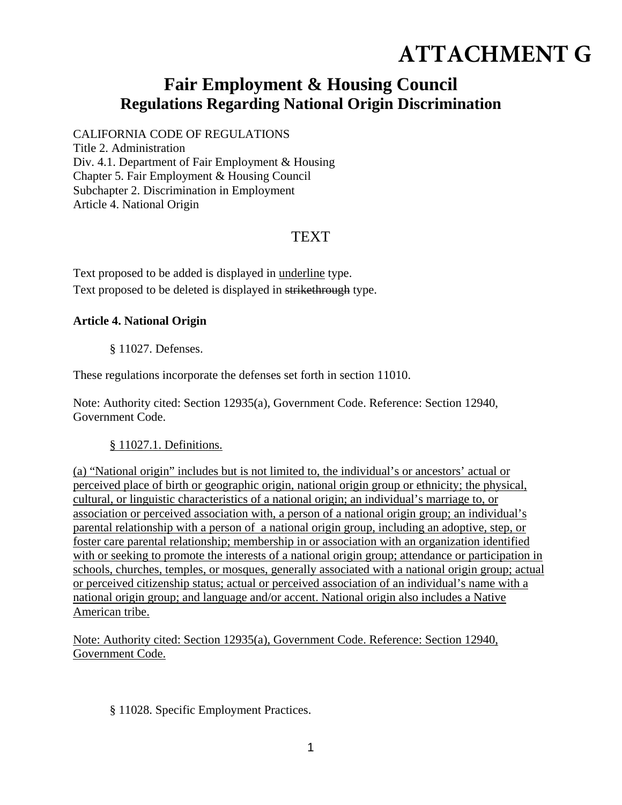# **ATTACHMENT G**

## **Fair Employment & Housing Council Regulations Regarding National Origin Discrimination**

CALIFORNIA CODE OF REGULATIONS Title 2. Administration Div. 4.1. Department of Fair Employment & Housing Chapter 5. Fair Employment & Housing Council Subchapter 2. Discrimination in Employment Article 4. National Origin

### **TEXT**

Text proposed to be added is displayed in underline type. Text proposed to be deleted is displayed in strikethrough type.

#### **Article 4. National Origin**

§ 11027. Defenses.

These regulations incorporate the defenses set forth in section 11010.

Note: Authority cited: Section 12935(a), Government Code. Reference: Section 12940, Government Code.

#### § 11027.1. Definitions.

(a) "National origin" includes but is not limited to, the individual's or ancestors' actual or perceived place of birth or geographic origin, national origin group or ethnicity; the physical, cultural, or linguistic characteristics of a national origin; an individual's marriage to, or association or perceived association with, a person of a national origin group; an individual's parental relationship with a person of a national origin group, including an adoptive, step, or foster care parental relationship; membership in or association with an organization identified with or seeking to promote the interests of a national origin group; attendance or participation in schools, churches, temples, or mosques, generally associated with a national origin group; actual or perceived citizenship status; actual or perceived association of an individual's name with a national origin group; and language and/or accent. National origin also includes a Native American tribe.

Note: Authority cited: Section 12935(a), Government Code. Reference: Section 12940, Government Code.

#### § 11028. Specific Employment Practices.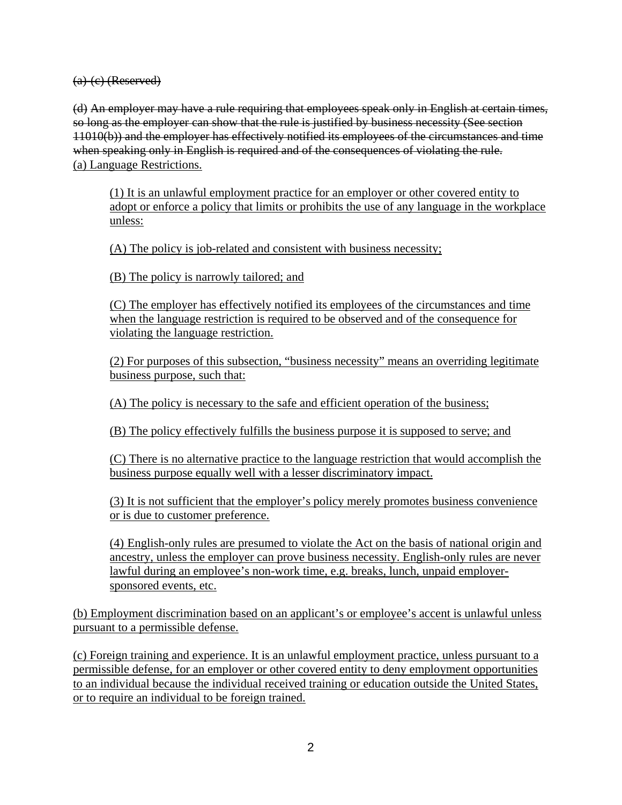$(a)$  (c) (Reserved)

(d) An employer may have a rule requiring that employees speak only in English at certain times, so long as the employer can show that the rule is justified by business necessity (See section 11010(b)) and the employer has effectively notified its employees of the circumstances and time when speaking only in English is required and of the consequences of violating the rule. (a) Language Restrictions.

(1) It is an unlawful employment practice for an employer or other covered entity to adopt or enforce a policy that limits or prohibits the use of any language in the workplace unless:

(A) The policy is job-related and consistent with business necessity;

(B) The policy is narrowly tailored; and

(C) The employer has effectively notified its employees of the circumstances and time when the language restriction is required to be observed and of the consequence for violating the language restriction.

(2) For purposes of this subsection, "business necessity" means an overriding legitimate business purpose, such that:

(A) The policy is necessary to the safe and efficient operation of the business;

(B) The policy effectively fulfills the business purpose it is supposed to serve; and

(C) There is no alternative practice to the language restriction that would accomplish the business purpose equally well with a lesser discriminatory impact.

(3) It is not sufficient that the employer's policy merely promotes business convenience or is due to customer preference.

(4) English-only rules are presumed to violate the Act on the basis of national origin and ancestry, unless the employer can prove business necessity. English-only rules are never lawful during an employee's non-work time, e.g. breaks, lunch, unpaid employersponsored events, etc.

(b) Employment discrimination based on an applicant's or employee's accent is unlawful unless pursuant to a permissible defense.

(c) Foreign training and experience. It is an unlawful employment practice, unless pursuant to a permissible defense, for an employer or other covered entity to deny employment opportunities to an individual because the individual received training or education outside the United States, or to require an individual to be foreign trained.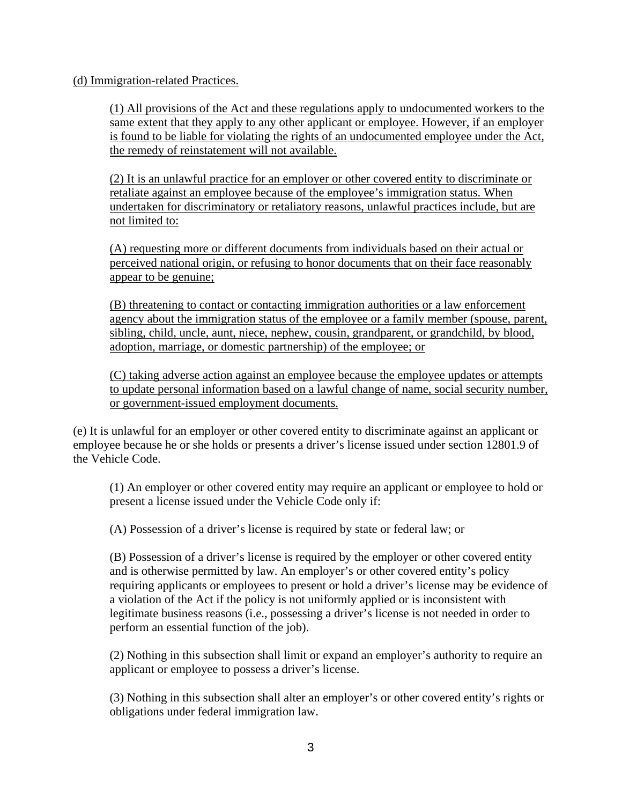(d) Immigration-related Practices.

(1) All provisions of the Act and these regulations apply to undocumented workers to the same extent that they apply to any other applicant or employee. However, if an employer is found to be liable for violating the rights of an undocumented employee under the Act, the remedy of reinstatement will not available.

(2) It is an unlawful practice for an employer or other covered entity to discriminate or retaliate against an employee because of the employee's immigration status. When undertaken for discriminatory or retaliatory reasons, unlawful practices include, but are not limited to:

(A) requesting more or different documents from individuals based on their actual or perceived national origin, or refusing to honor documents that on their face reasonably appear to be genuine;

(B) threatening to contact or contacting immigration authorities or a law enforcement agency about the immigration status of the employee or a family member (spouse, parent, sibling, child, uncle, aunt, niece, nephew, cousin, grandparent, or grandchild, by blood, adoption, marriage, or domestic partnership) of the employee; or

(C) taking adverse action against an employee because the employee updates or attempts to update personal information based on a lawful change of name, social security number, or government-issued employment documents.

(e) It is unlawful for an employer or other covered entity to discriminate against an applicant or employee because he or she holds or presents a driver's license issued under section 12801.9 of the Vehicle Code.

(1) An employer or other covered entity may require an applicant or employee to hold or present a license issued under the Vehicle Code only if:

(A) Possession of a driver's license is required by state or federal law; or

(B) Possession of a driver's license is required by the employer or other covered entity and is otherwise permitted by law. An employer's or other covered entity's policy requiring applicants or employees to present or hold a driver's license may be evidence of a violation of the Act if the policy is not uniformly applied or is inconsistent with legitimate business reasons (i.e., possessing a driver's license is not needed in order to perform an essential function of the job).

(2) Nothing in this subsection shall limit or expand an employer's authority to require an applicant or employee to possess a driver's license.

(3) Nothing in this subsection shall alter an employer's or other covered entity's rights or obligations under federal immigration law.